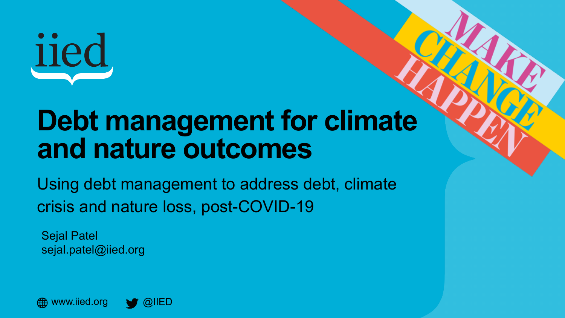

## **Debt management for climate and nature outcomes**

Using debt management to address debt, climate crisis and nature loss, post-COVID-19

Sejal Patel sejal.patel@iied.org

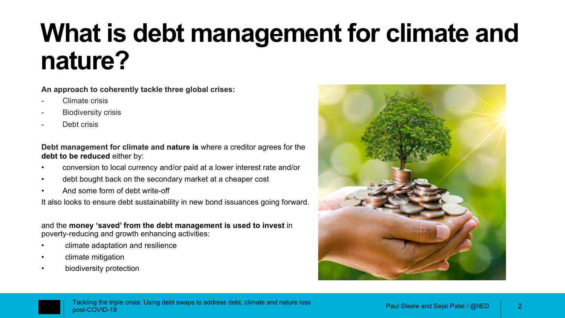## **What is debt management for climate and nature?**

**An approach to coherently tackle three global crises:**

- Climate crisis
- **Biodiversity crisis**
- Debt crisis

**Debt management for climate and nature is** where a creditor agrees for the **debt to be reduced** either by:

- conversion to local currency and/or paid at a lower interest rate and/or
- debt bought back on the secondary market at a cheaper cost
- And some form of debt write-off

It also looks to ensure debt sustainability in new bond issuances going forward.

and the **money 'saved' from the debt management is used to invest** in poverty-reducing and growth enhancing activities:

- climate adaptation and resilience
- climate mitigation
- biodiversity protection



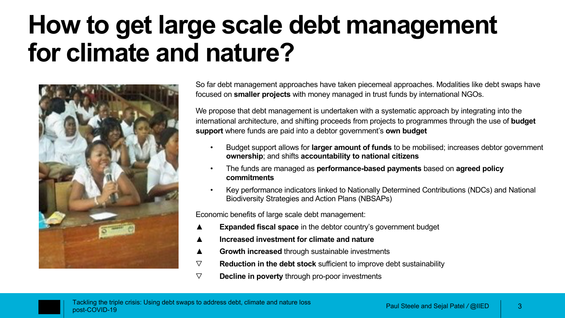## **How to get large scale debt management for climate and nature?**



So far debt management approaches have taken piecemeal approaches. Modalities like debt swaps have focused on **smaller projects** with money managed in trust funds by international NGOs.

We propose that debt management is undertaken with a systematic approach by integrating into the international architecture, and shifting proceeds from projects to programmes through the use of **budget support** where funds are paid into a debtor government's **own budget**

- Budget support allows for **larger amount of funds** to be mobilised; increases debtor government **ownership**; and shifts **accountability to national citizens**
- The funds are managed as **performance-based payments** based on **agreed policy commitments**
- Key performance indicators linked to Nationally Determined Contributions (NDCs) and National Biodiversity Strategies and Action Plans (NBSAPs)

Economic benefits of large scale debt management:

- **Expanded fiscal space** in the debtor country's government budget
- **Increased investment for climate and nature**
- **Growth increased through sustainable investments**
- ▽ **Reduction in the debt stock** sufficient to improve debt sustainability
- ▽ **Decline in poverty** through pro-poor investments